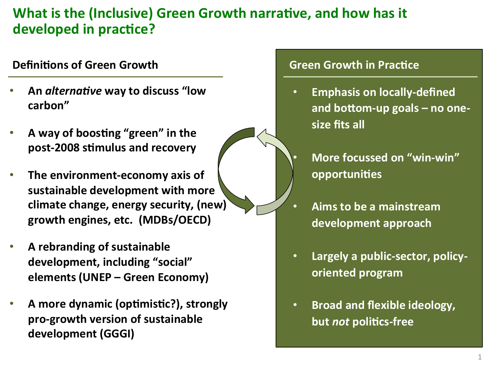## **What is the (Inclusive) Green Growth narrative, and how has it** developed in practice?

#### **Definitions of Green Growth**

- An *alternative* way to discuss "low **carbon"**
- A way of boosting "green" in the post-2008 stimulus and recovery
- The environment-economy axis of sustainable development with more climate change, energy security, (new) growth engines, etc. (MDBs/OECD)
- A rebranding of sustainable development, including "social" **elements (UNEP – Green Economy)**
- A more dynamic (optimistic?), strongly pro-growth version of sustainable development (GGGI)

#### **Green Growth in Practice**

- **•** Emphasis on locally-defined and bottom-up goals – no onesize fits all
	- **More focussed on "win-win" opportunities**
	- Aims to be a mainstream development approach
- **•** Largely a public-sector, policy**oriented program**
- **Broad and flexible ideology, but not politics-free**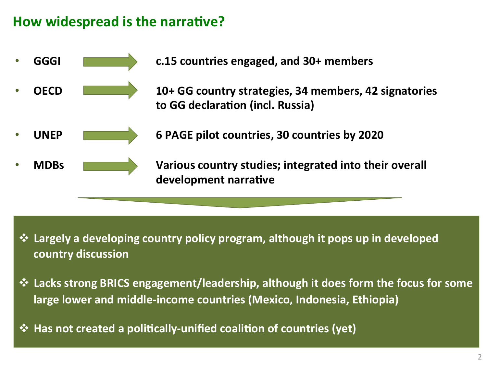#### **How widespread is the narrative?**



<u>**❖ Largely a developing country policy program, although it pops up in developed**</u> **country discussion** 

- $\dots$  **Lacks strong BRICS engagement/leadership, although it does form the focus for some large lower and middle-income countries (Mexico, Indonesia, Ethiopia)**
- **→ Has not created a politically-unified coalition of countries (yet)**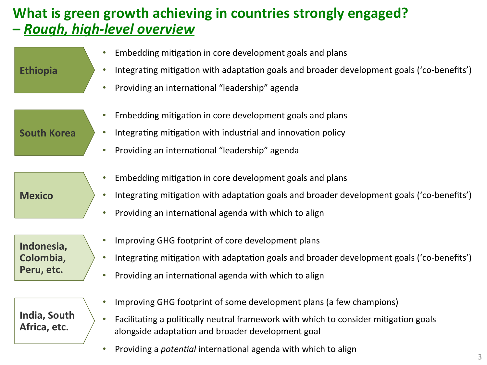## **What is green growth achieving in countries strongly engaged? - Rough, high-level overview**

| <b>Ethiopia</b>                       | Embedding mitigation in core development goals and plans<br>Integrating mitigation with adaptation goals and broader development goals ('co-benefits')<br>Providing an international "leadership" agenda<br>$\bullet$        |
|---------------------------------------|------------------------------------------------------------------------------------------------------------------------------------------------------------------------------------------------------------------------------|
| <b>South Korea</b>                    | Embedding mitigation in core development goals and plans<br>Integrating mitigation with industrial and innovation policy<br>Providing an international "leadership" agenda<br>$\bullet$                                      |
| <b>Mexico</b>                         | Embedding mitigation in core development goals and plans<br>Integrating mitigation with adaptation goals and broader development goals ('co-benefits')<br>Providing an international agenda with which to align<br>$\bullet$ |
| Indonesia,<br>Colombia,<br>Peru, etc. | Improving GHG footprint of core development plans<br>$\bullet$<br>Integrating mitigation with adaptation goals and broader development goals ('co-benefits')<br>Providing an international agenda with which to align        |

**India, South**  Africa, etc.

- Improving GHG footprint of some development plans (a few champions)
- Facilitating a politically neutral framework with which to consider mitigation goals alongside adaptation and broader development goal
- Providing a *potential* international agenda with which to align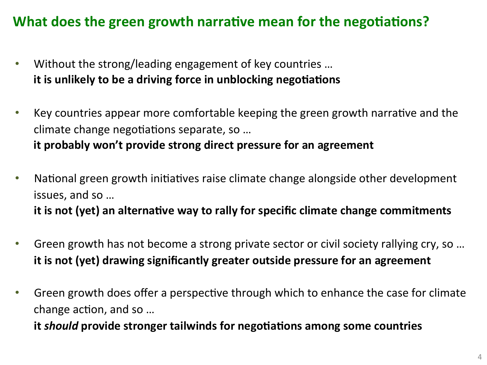## **What does the green growth narrative mean for the negotiations?**

- Without the strong/leading engagement of key countries ... **it is unlikely to be a driving force in unblocking negotiations**
- Key countries appear more comfortable keeping the green growth narrative and the climate change negotiations separate, so ... **it probably won't provide strong direct pressure for an agreement**
- National green growth initiatives raise climate change alongside other development issues, and so ... it is not (yet) an alternative way to rally for specific climate change commitments
- Green growth has not become a strong private sector or civil society rallying cry, so ... **it is not (yet) drawing significantly greater outside pressure for an agreement**
- Green growth does offer a perspective through which to enhance the case for climate change action, and so ...

**it should provide stronger tailwinds for negotiations among some countries**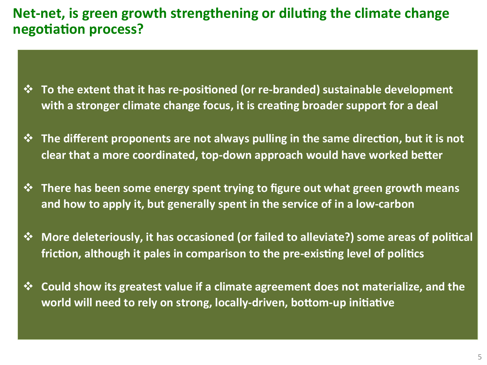#### **Net-net, is green growth strengthening or diluting the climate change negotiation process?**

- $\dots$  **To the extent that it has re-positioned (or re-branded) sustainable development** with a stronger climate change focus, it is creating broader support for a deal
- $\diamond$  **The different proponents are not always pulling in the same direction, but it is not** clear that a more coordinated, top-down approach would have worked better
- $\diamond$  **There has been some energy spent trying to figure out what green growth means** and how to apply it, but generally spent in the service of in a low-carbon
- $\diamond$  **More deleteriously, it has occasioned (or failed to alleviate?) some areas of political friction, although it pales in comparison to the pre-existing level of politics**
- $\dots$  **Could show its greatest value if a climate agreement does not materialize, and the** world will need to rely on strong, locally-driven, bottom-up initiative